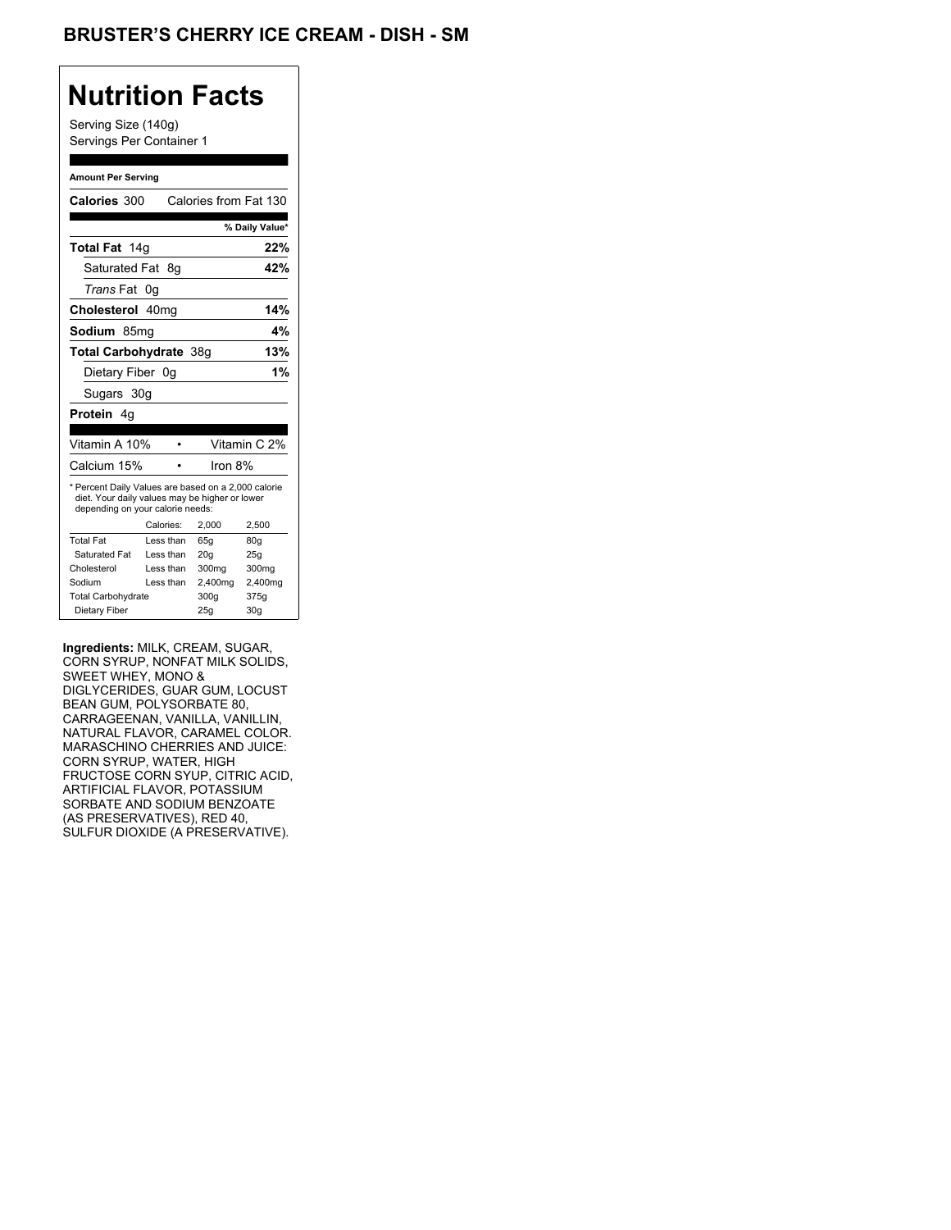## **Nutrition Facts**

Serving Size (140g) Servings Per Container 1

#### **Amount Per Serving**

| Calories 300                                                                                                                              |           |      | Calories from Fat 130 |                 |
|-------------------------------------------------------------------------------------------------------------------------------------------|-----------|------|-----------------------|-----------------|
|                                                                                                                                           |           |      |                       | % Daily Value*  |
| Total Fat 14g                                                                                                                             |           |      |                       | 22%             |
| Saturated Fat                                                                                                                             |           | - 8a |                       | 42%             |
| <i>Trans</i> Fat                                                                                                                          | 0g        |      |                       |                 |
| Cholesterol 40mg                                                                                                                          |           |      |                       | 14%             |
| Sodium 85mq                                                                                                                               |           |      |                       | 4%              |
| Total Carbohydrate 38q                                                                                                                    |           |      |                       | 13%             |
| Dietary Fiber 0q                                                                                                                          |           |      |                       | 1%              |
| Sugars 30g                                                                                                                                |           |      |                       |                 |
| <b>Protein</b> 4q                                                                                                                         |           |      |                       |                 |
|                                                                                                                                           |           |      |                       |                 |
| Vitamin A 10%                                                                                                                             |           |      |                       | Vitamin C 2%    |
| Calcium 15%                                                                                                                               |           |      | Iron 8%               |                 |
| * Percent Daily Values are based on a 2,000 calorie<br>diet. Your daily values may be higher or lower<br>depending on your calorie needs: |           |      |                       |                 |
|                                                                                                                                           | Calories: |      | 2.000                 | 2,500           |
| <b>Total Fat</b>                                                                                                                          | Less than |      | 65q                   | 80q             |
| Saturated Fat                                                                                                                             | Less than |      | 20q                   | 25q             |
| Cholesterol                                                                                                                               | Less than |      | 300 <sub>mq</sub>     | 300mg           |
| Sodium                                                                                                                                    | Less than |      | 2,400mg               | 2,400mg         |
| <b>Total Carbohydrate</b>                                                                                                                 |           |      | 300g                  | 375g            |
| Dietary Fiber                                                                                                                             |           |      | 25q                   | 30 <sub>g</sub> |

**Ingredients:** MILK, CREAM, SUGAR, CORN SYRUP, NONFAT MILK SOLIDS, SWEET WHEY, MONO & DIGLYCERIDES, GUAR GUM, LOCUST BEAN GUM, POLYSORBATE 80, CARRAGEENAN, VANILLA, VANILLIN, NATURAL FLAVOR, CARAMEL COLOR. MARASCHINO CHERRIES AND JUICE: CORN SYRUP, WATER, HIGH FRUCTOSE CORN SYUP, CITRIC ACID, ARTIFICIAL FLAVOR, POTASSIUM SORBATE AND SODIUM BENZOATE (AS PRESERVATIVES), RED 40, SULFUR DIOXIDE (A PRESERVATIVE).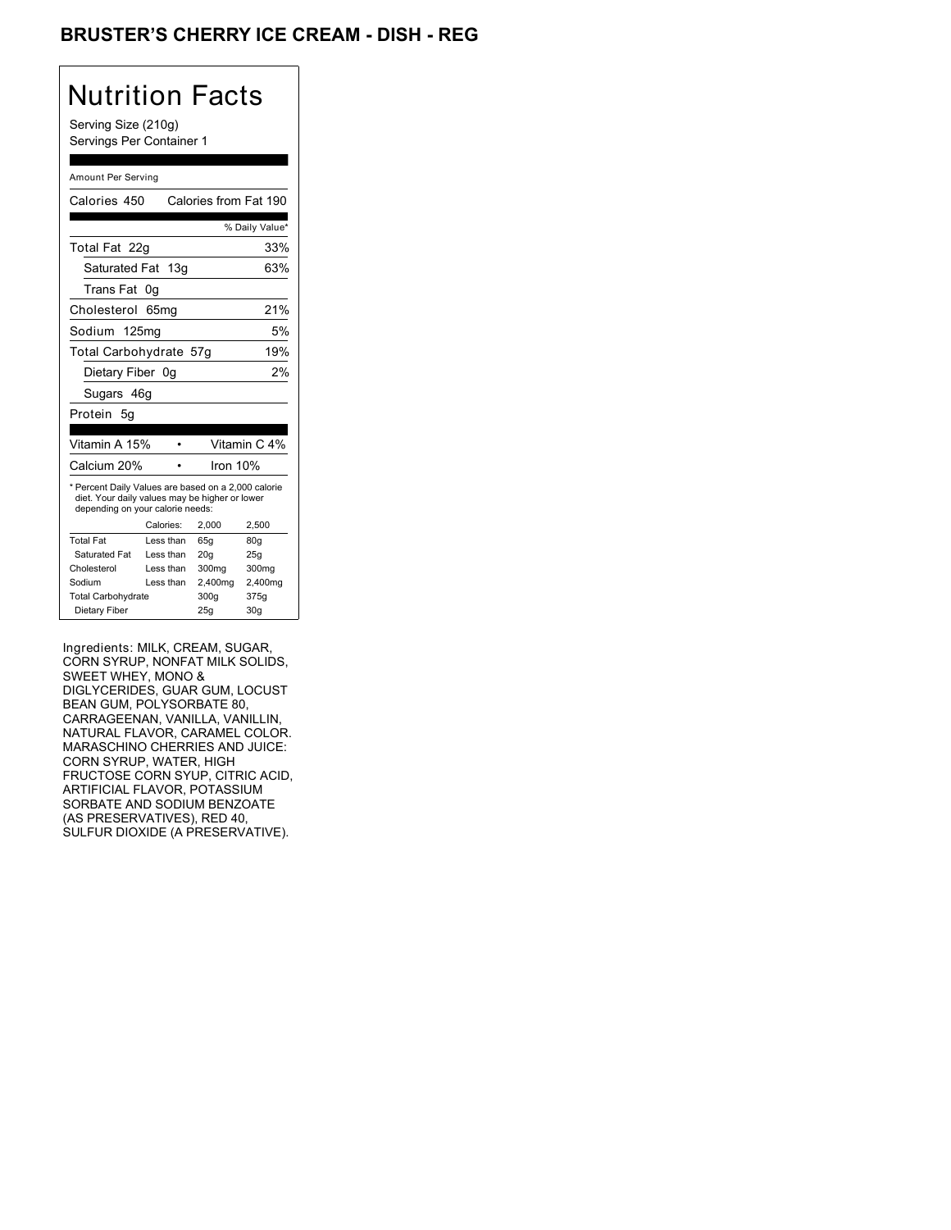### BRUSTER'S CHERRY ICE CREAM - DISH - REG

## Nutrition Facts

Serving Size (210g) Servings Per Container 1

#### Amount Per Serving

| Calories 450                                                                                                                              |           | Calories from Fat 190 |                |
|-------------------------------------------------------------------------------------------------------------------------------------------|-----------|-----------------------|----------------|
|                                                                                                                                           |           |                       | % Daily Value* |
| Total Fat 22g                                                                                                                             |           |                       | 33%            |
| Saturated Fat 13g                                                                                                                         |           |                       | 63%            |
| Trans Fat                                                                                                                                 | 0g        |                       |                |
| Cholesterol                                                                                                                               | 65mq      |                       | 21%            |
| Sodium 125mg                                                                                                                              |           |                       | 5%             |
| Total Carbohydrate 57g                                                                                                                    |           |                       | 19%            |
| Dietary Fiber 0g                                                                                                                          |           |                       | 2%             |
| Sugars 46g                                                                                                                                |           |                       |                |
| Protein 5q                                                                                                                                |           |                       |                |
|                                                                                                                                           |           |                       |                |
| Vitamin A 15%                                                                                                                             |           |                       | Vitamin C 4%   |
| Calcium 20%                                                                                                                               |           | Iron 10%              |                |
| * Percent Daily Values are based on a 2,000 calorie<br>diet. Your daily values may be higher or lower<br>depending on your calorie needs: |           |                       |                |
|                                                                                                                                           |           |                       |                |
|                                                                                                                                           | Calories: | 2.000                 | 2,500          |
| <b>Total Fat</b>                                                                                                                          | Less than | 65q                   | 80q            |
| Saturated Fat                                                                                                                             | Less than | 20 <sub>g</sub>       | 25q            |
| Cholesterol                                                                                                                               | Less than | 300mg                 | 300mg          |
| Sodium                                                                                                                                    | Less than | 2,400mg               | 2,400mg        |
| <b>Total Carbohydrate</b>                                                                                                                 |           | 300g                  | 375g           |

Ingredients: MILK, CREAM, SUGAR, CORN SYRUP, NONFAT MILK SOLIDS, SWEET WHEY, MONO & DIGLYCERIDES, GUAR GUM, LOCUST BEAN GUM, POLYSORBATE 80, CARRAGEENAN, VANILLA, VANILLIN, NATURAL FLAVOR, CARAMEL COLOR. MARASCHINO CHERRIES AND JUICE: CORN SYRUP, WATER, HIGH FRUCTOSE CORN SYUP, CITRIC ACID, ARTIFICIAL FLAVOR, POTASSIUM SORBATE AND SODIUM BENZOATE (AS PRESERVATIVES), RED 40, SULFUR DIOXIDE (A PRESERVATIVE).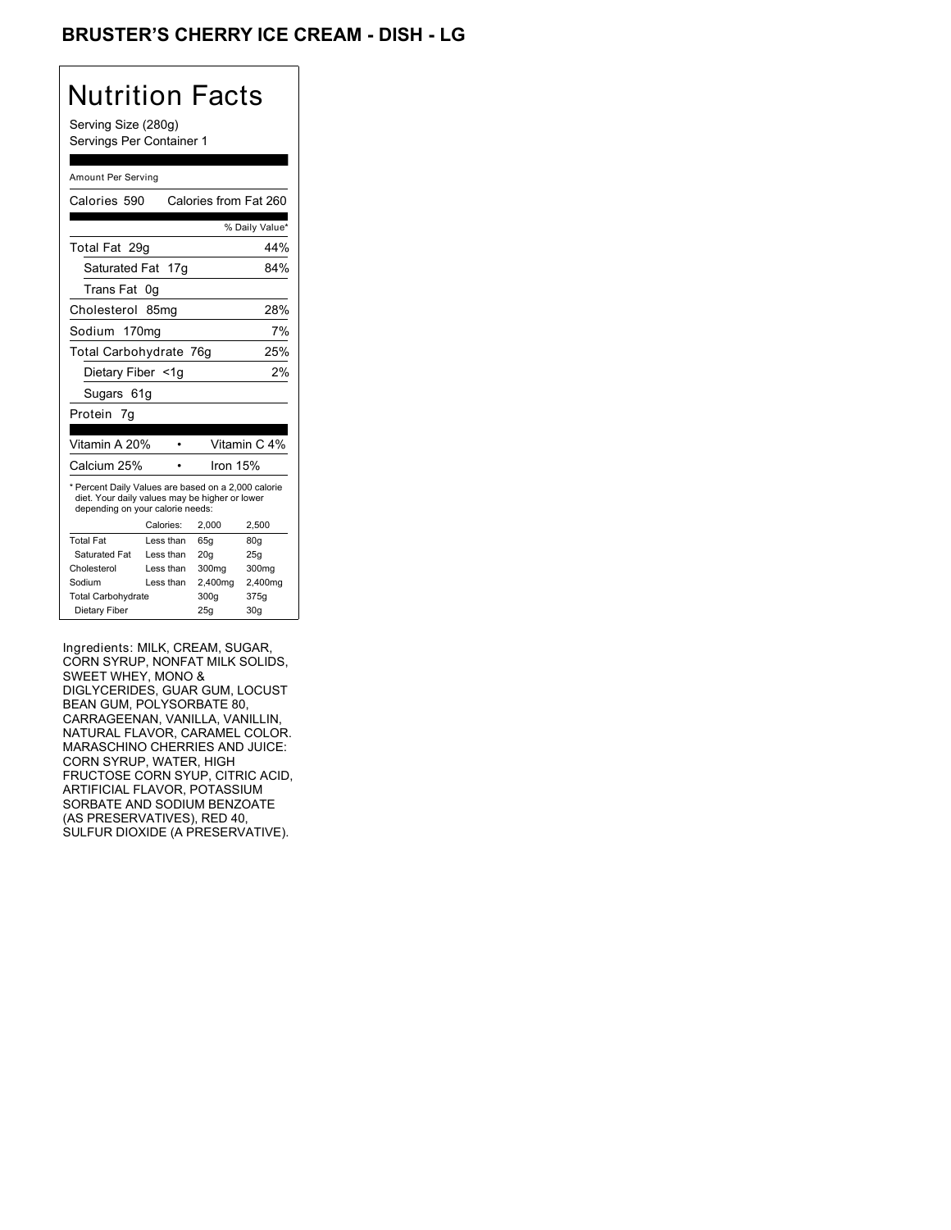### BRUSTER'S CHERRY ICE CREAM - DISH - LG

## Nutrition Facts

Serving Size (280g) Servings Per Container 1

#### Amount Per Serving

| Calories 590                                                                                                                              |                  | Calories from Fat 260 |                |
|-------------------------------------------------------------------------------------------------------------------------------------------|------------------|-----------------------|----------------|
|                                                                                                                                           |                  |                       | % Daily Value* |
| Total Fat 29q                                                                                                                             |                  |                       | 44%            |
| Saturated Fat 17g                                                                                                                         |                  |                       | 84%            |
| Trans Fat                                                                                                                                 | 0g               |                       |                |
| Cholesterol                                                                                                                               | 85 <sub>mq</sub> |                       | 28%            |
| Sodium 170mg                                                                                                                              |                  |                       | 7%             |
| Total Carbohydrate 76g                                                                                                                    |                  |                       | 25%            |
| Dietary Fiber <1g                                                                                                                         |                  |                       | 2%             |
| Sugars 61g                                                                                                                                |                  |                       |                |
| Protein 7g                                                                                                                                |                  |                       |                |
|                                                                                                                                           |                  |                       |                |
|                                                                                                                                           |                  |                       |                |
| Vitamin A 20%                                                                                                                             |                  |                       | Vitamin C 4%   |
| Calcium 25%                                                                                                                               |                  | Iron 15%              |                |
| * Percent Daily Values are based on a 2,000 calorie<br>diet. Your daily values may be higher or lower<br>depending on your calorie needs: |                  |                       |                |
|                                                                                                                                           | Calories:        | 2,000                 | 2,500          |
| <b>Total Fat</b>                                                                                                                          | Less than        | 65q                   | 80q            |
| Saturated Fat                                                                                                                             | Less than        | 20q                   | 25q            |
| Cholesterol                                                                                                                               | Less than        | 300mg                 | 300mg          |
| Sodium                                                                                                                                    | Less than        | 2,400mg               | 2,400mg        |
| <b>Total Carbohydrate</b>                                                                                                                 |                  | 300g                  | 375g           |

Ingredients: MILK, CREAM, SUGAR, CORN SYRUP, NONFAT MILK SOLIDS, SWEET WHEY, MONO & DIGLYCERIDES, GUAR GUM, LOCUST BEAN GUM, POLYSORBATE 80, CARRAGEENAN, VANILLA, VANILLIN, NATURAL FLAVOR, CARAMEL COLOR. MARASCHINO CHERRIES AND JUICE: CORN SYRUP, WATER, HIGH FRUCTOSE CORN SYUP, CITRIC ACID, ARTIFICIAL FLAVOR, POTASSIUM SORBATE AND SODIUM BENZOATE (AS PRESERVATIVES), RED 40, SULFUR DIOXIDE (A PRESERVATIVE).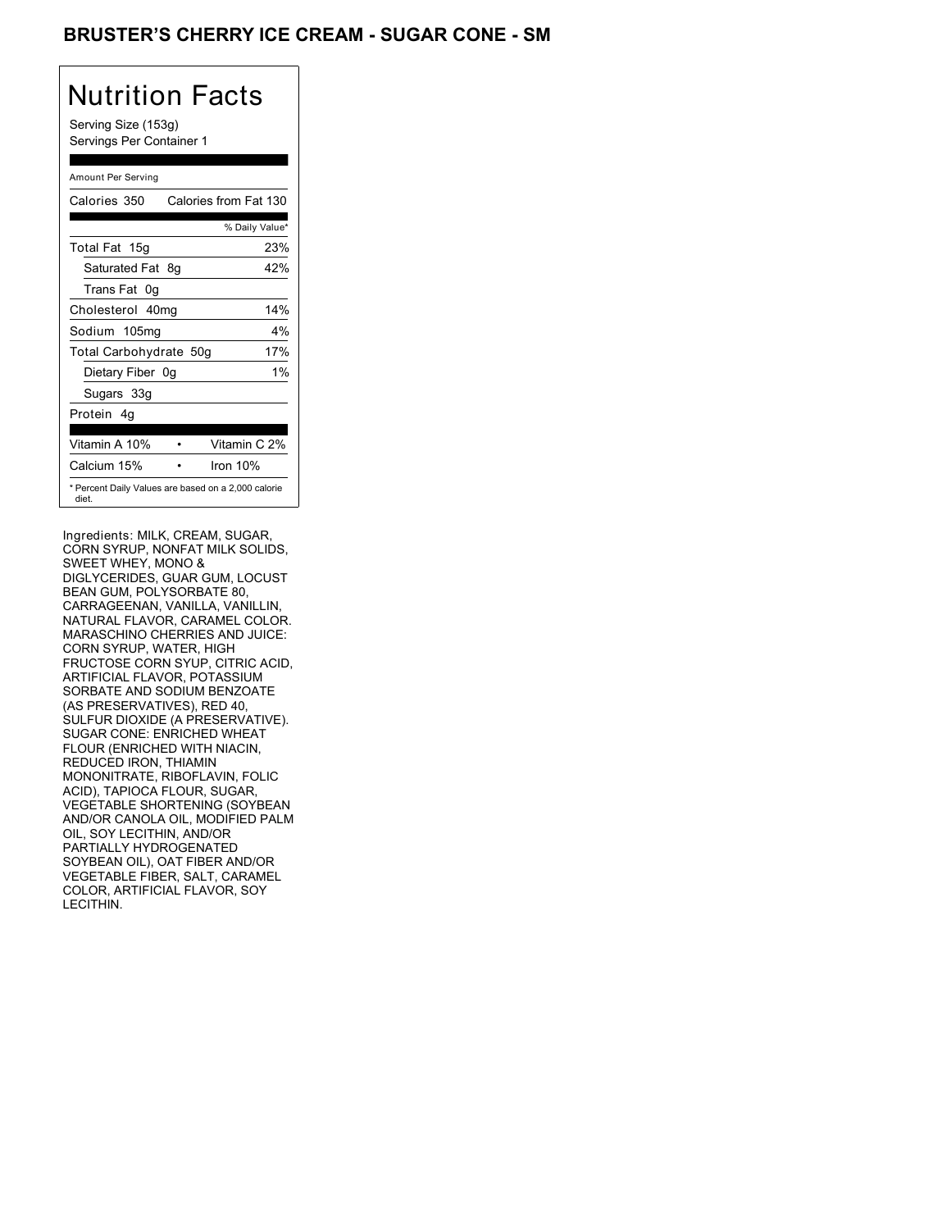### BRUSTER'S CHERRY ICE CREAM - SUGAR CONE - SM

## Nutrition Facts

Serving Size (153g) Servings Per Container 1

### Amount Per Serving

| Calories 350           | Calories from Fat 130                               |
|------------------------|-----------------------------------------------------|
|                        | % Daily Value*                                      |
| Total Fat 15g          | 23%                                                 |
| Saturated Fat 8q       | 42%                                                 |
| Trans Fat 0q           |                                                     |
| Cholesterol 40mg       | 14%                                                 |
| Sodium 105mg           | $4\%$                                               |
| Total Carbohydrate 50g | 17%                                                 |
| Dietary Fiber 0g       | 1%                                                  |
| Sugars 33g             |                                                     |
| Protein 4q             |                                                     |
|                        |                                                     |
| Vitamin A 10%          | Vitamin C 2%                                        |
| Calcium 15%            | Iron $10%$                                          |
| diet.                  | * Percent Daily Values are based on a 2,000 calorie |

Ingredients: MILK, CREAM, SUGAR, CORN SYRUP, NONFAT MILK SOLIDS, SWEET WHEY, MONO & DIGLYCERIDES, GUAR GUM, LOCUST BEAN GUM, POLYSORBATE 80, CARRAGEENAN, VANILLA, VANILLIN, NATURAL FLAVOR, CARAMEL COLOR. MARASCHINO CHERRIES AND JUICE: CORN SYRUP, WATER, HIGH FRUCTOSE CORN SYUP, CITRIC ACID, ARTIFICIAL FLAVOR, POTASSIUM SORBATE AND SODIUM BENZOATE (AS PRESERVATIVES), RED 40, SULFUR DIOXIDE (A PRESERVATIVE). SUGAR CONE: ENRICHED WHEAT FLOUR (ENRICHED WITH NIACIN, REDUCED IRON, THIAMIN MONONITRATE, RIBOFLAVIN, FOLIC ACID), TAPIOCA FLOUR, SUGAR, VEGETABLE SHORTENING (SOYBEAN AND/OR CANOLA OIL, MODIFIED PALM OIL, SOY LECITHIN, AND/OR PARTIALLY HYDROGENATED SOYBEAN OIL), OAT FIBER AND/OR VEGETABLE FIBER, SALT, CARAMEL COLOR, ARTIFICIAL FLAVOR, SOY LECITHIN.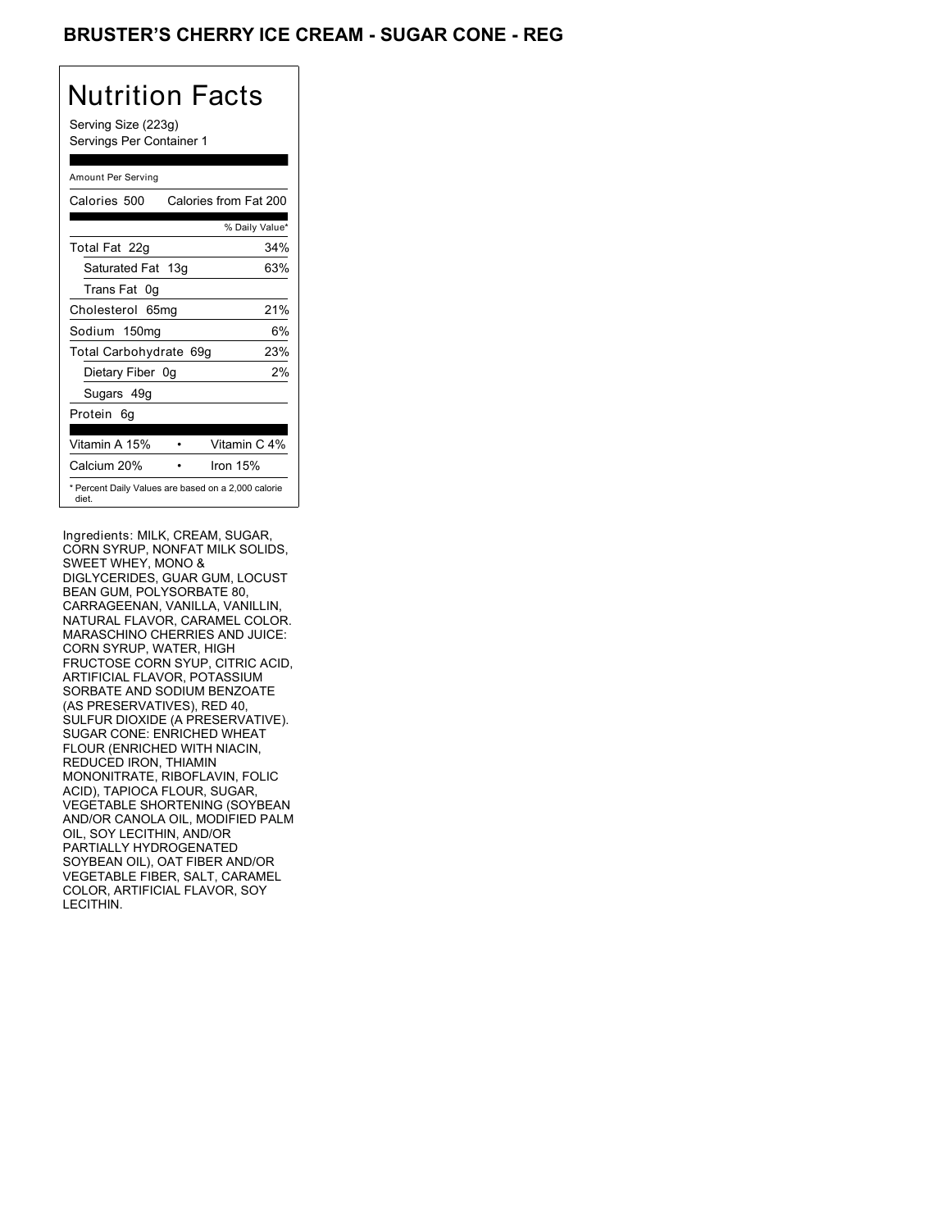### **BRUSTER'S CHERRY ICE CREAM - SUGAR CONE - REG**

## Nutrition Facts

Serving Size (223g) Servings Per Container 1

#### Amount Per Serving

| Calories 500                                                 | Calories from Fat 200 |
|--------------------------------------------------------------|-----------------------|
|                                                              | % Daily Value*        |
| Total Fat 22g                                                | 34%                   |
| Saturated Fat 13g                                            | 63%                   |
| Trans Fat 0q                                                 |                       |
| Cholesterol 65mg                                             | 21%                   |
| Sodium 150mg                                                 | 6%                    |
| Total Carbohydrate 69g                                       | 23%                   |
| Dietary Fiber 0g                                             | 2%                    |
| Sugars 49g                                                   |                       |
| Protein 6q                                                   |                       |
|                                                              |                       |
| Vitamin A 15%                                                | Vitamin C 4%          |
| Calcium 20%                                                  | Iron $15%$            |
| * Percent Daily Values are based on a 2,000 calorie<br>diet. |                       |

Ingredients: MILK, CREAM, SUGAR, CORN SYRUP, NONFAT MILK SOLIDS, SWEET WHEY, MONO & DIGLYCERIDES, GUAR GUM, LOCUST BEAN GUM, POLYSORBATE 80, CARRAGEENAN, VANILLA, VANILLIN, NATURAL FLAVOR, CARAMEL COLOR. MARASCHINO CHERRIES AND JUICE: CORN SYRUP, WATER, HIGH FRUCTOSE CORN SYUP, CITRIC ACID, ARTIFICIAL FLAVOR, POTASSIUM SORBATE AND SODIUM BENZOATE (AS PRESERVATIVES), RED 40, SULFUR DIOXIDE (A PRESERVATIVE). SUGAR CONE: ENRICHED WHEAT FLOUR (ENRICHED WITH NIACIN, REDUCED IRON, THIAMIN MONONITRATE, RIBOFLAVIN, FOLIC ACID), TAPIOCA FLOUR, SUGAR, VEGETABLE SHORTENING (SOYBEAN AND/OR CANOLA OIL, MODIFIED PALM OIL, SOY LECITHIN, AND/OR PARTIALLY HYDROGENATED SOYBEAN OIL), OAT FIBER AND/OR VEGETABLE FIBER, SALT, CARAMEL COLOR, ARTIFICIAL FLAVOR, SOY LECITHIN.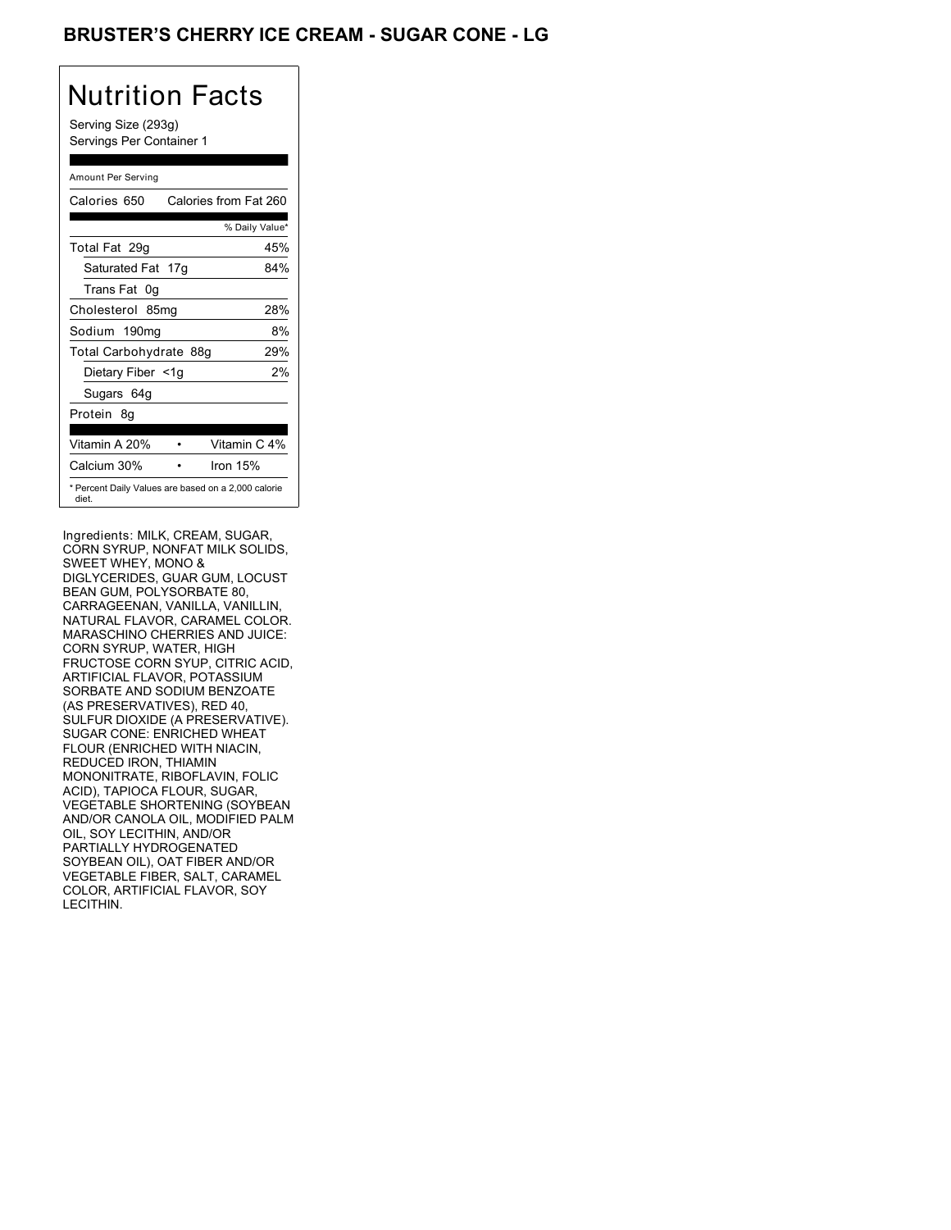### BRUSTER'S CHERRY ICE CREAM - SUGAR CONE - LG

## Nutrition Facts

Serving Size (293g) Servings Per Container 1

#### Amount Per Serving

| Calories 650           | Calories from Fat 260                               |
|------------------------|-----------------------------------------------------|
|                        | % Daily Value*                                      |
| Total Fat 29g          | 45%                                                 |
| Saturated Fat 17g      | 84%                                                 |
| Trans Fat 0q           |                                                     |
| Cholesterol 85mg       | 28%                                                 |
| Sodium 190mg           | 8%                                                  |
| Total Carbohydrate 88g | 29%                                                 |
| Dietary Fiber <1g      | 2%                                                  |
| Sugars 64g             |                                                     |
| Protein 8q             |                                                     |
| Vitamin A 20%          | Vitamin C 4%                                        |
| Calcium 30%            | Iron $15%$                                          |
| diet.                  | * Percent Daily Values are based on a 2,000 calorie |

Ingredients: MILK, CREAM, SUGAR, CORN SYRUP, NONFAT MILK SOLIDS, SWEET WHEY, MONO & DIGLYCERIDES, GUAR GUM, LOCUST BEAN GUM, POLYSORBATE 80, CARRAGEENAN, VANILLA, VANILLIN, NATURAL FLAVOR, CARAMEL COLOR. MARASCHINO CHERRIES AND JUICE: CORN SYRUP, WATER, HIGH FRUCTOSE CORN SYUP, CITRIC ACID, ARTIFICIAL FLAVOR, POTASSIUM SORBATE AND SODIUM BENZOATE (AS PRESERVATIVES), RED 40, SULFUR DIOXIDE (A PRESERVATIVE). SUGAR CONE: ENRICHED WHEAT FLOUR (ENRICHED WITH NIACIN, REDUCED IRON, THIAMIN MONONITRATE, RIBOFLAVIN, FOLIC ACID), TAPIOCA FLOUR, SUGAR, VEGETABLE SHORTENING (SOYBEAN AND/OR CANOLA OIL, MODIFIED PALM OIL, SOY LECITHIN, AND/OR PARTIALLY HYDROGENATED SOYBEAN OIL), OAT FIBER AND/OR VEGETABLE FIBER, SALT, CARAMEL COLOR, ARTIFICIAL FLAVOR, SOY LECITHIN.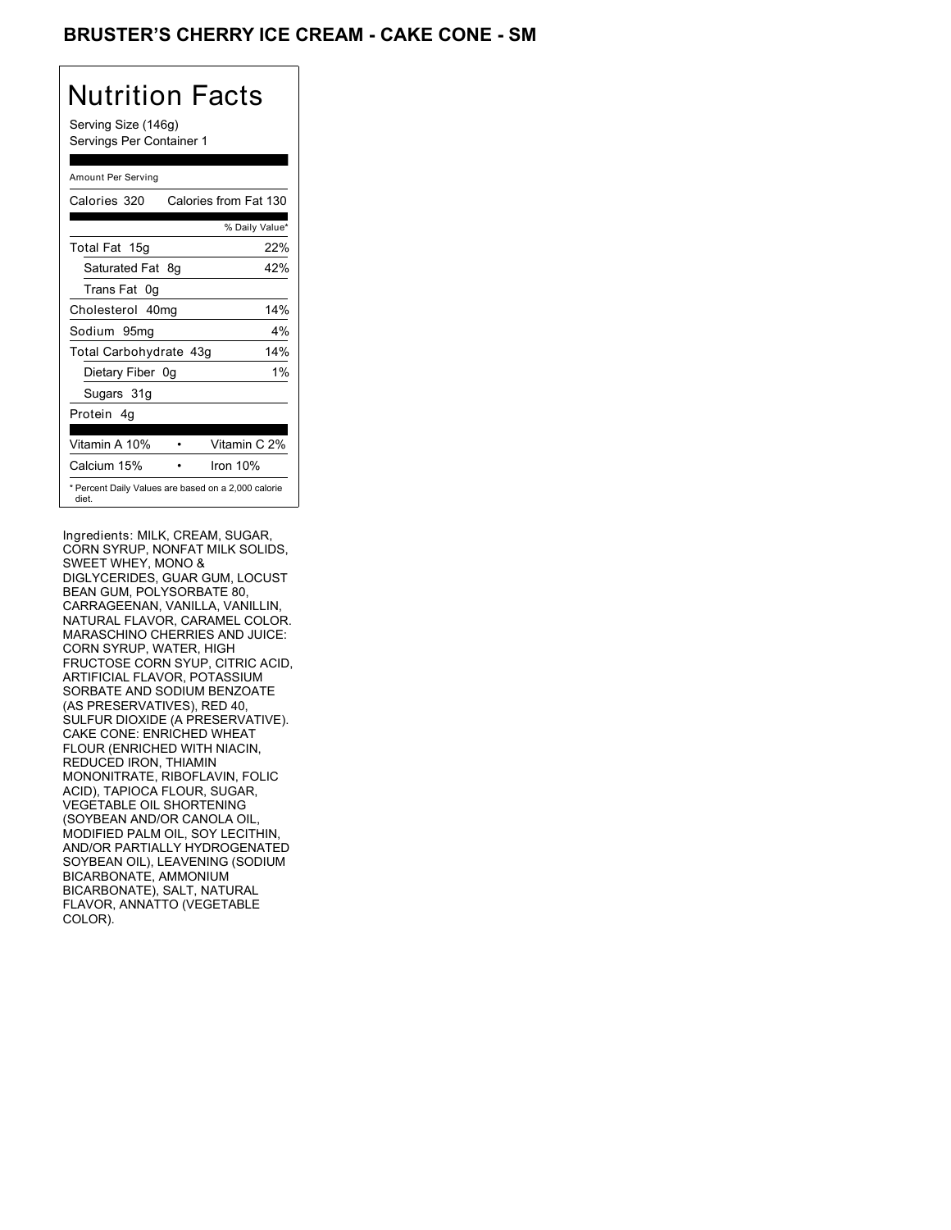### BRUSTER'S CHERRY ICE CREAM - CAKE CONE - SM

## Nutrition Facts

Serving Size (146g) Servings Per Container 1

### Amount Per Serving

| Calories 320           | Calories from Fat 130                               |
|------------------------|-----------------------------------------------------|
|                        | % Daily Value*                                      |
| Total Fat 15g          | 22%                                                 |
| Saturated Fat 8q       | 42%                                                 |
| Trans Fat 0q           |                                                     |
| Cholesterol 40mg       | 14%                                                 |
| Sodium 95mg            | $4\%$                                               |
| Total Carbohydrate 43g | 14%                                                 |
| Dietary Fiber 0g       | $1\%$                                               |
| Sugars 31g             |                                                     |
| Protein 4q             |                                                     |
| Vitamin A 10%          | Vitamin C 2%                                        |
| Calcium 15%            | Iron $10%$                                          |
| diet.                  | * Percent Daily Values are based on a 2,000 calorie |

Ingredients: MILK, CREAM, SUGAR, CORN SYRUP, NONFAT MILK SOLIDS, SWEET WHEY, MONO & DIGLYCERIDES, GUAR GUM, LOCUST BEAN GUM, POLYSORBATE 80, CARRAGEENAN, VANILLA, VANILLIN, NATURAL FLAVOR, CARAMEL COLOR. MARASCHINO CHERRIES AND JUICE: CORN SYRUP, WATER, HIGH FRUCTOSE CORN SYUP, CITRIC ACID, ARTIFICIAL FLAVOR, POTASSIUM SORBATE AND SODIUM BENZOATE (AS PRESERVATIVES), RED 40, SULFUR DIOXIDE (A PRESERVATIVE). CAKE CONE: ENRICHED WHEAT FLOUR (ENRICHED WITH NIACIN, REDUCED IRON, THIAMIN MONONITRATE, RIBOFLAVIN, FOLIC ACID), TAPIOCA FLOUR, SUGAR, VEGETABLE OIL SHORTENING (SOYBEAN AND/OR CANOLA OIL, MODIFIED PALM OIL, SOY LECITHIN, AND/OR PARTIALLY HYDROGENATED SOYBEAN OIL), LEAVENING (SODIUM BICARBONATE, AMMONIUM BICARBONATE), SALT, NATURAL FLAVOR, ANNATTO (VEGETABLE COLOR).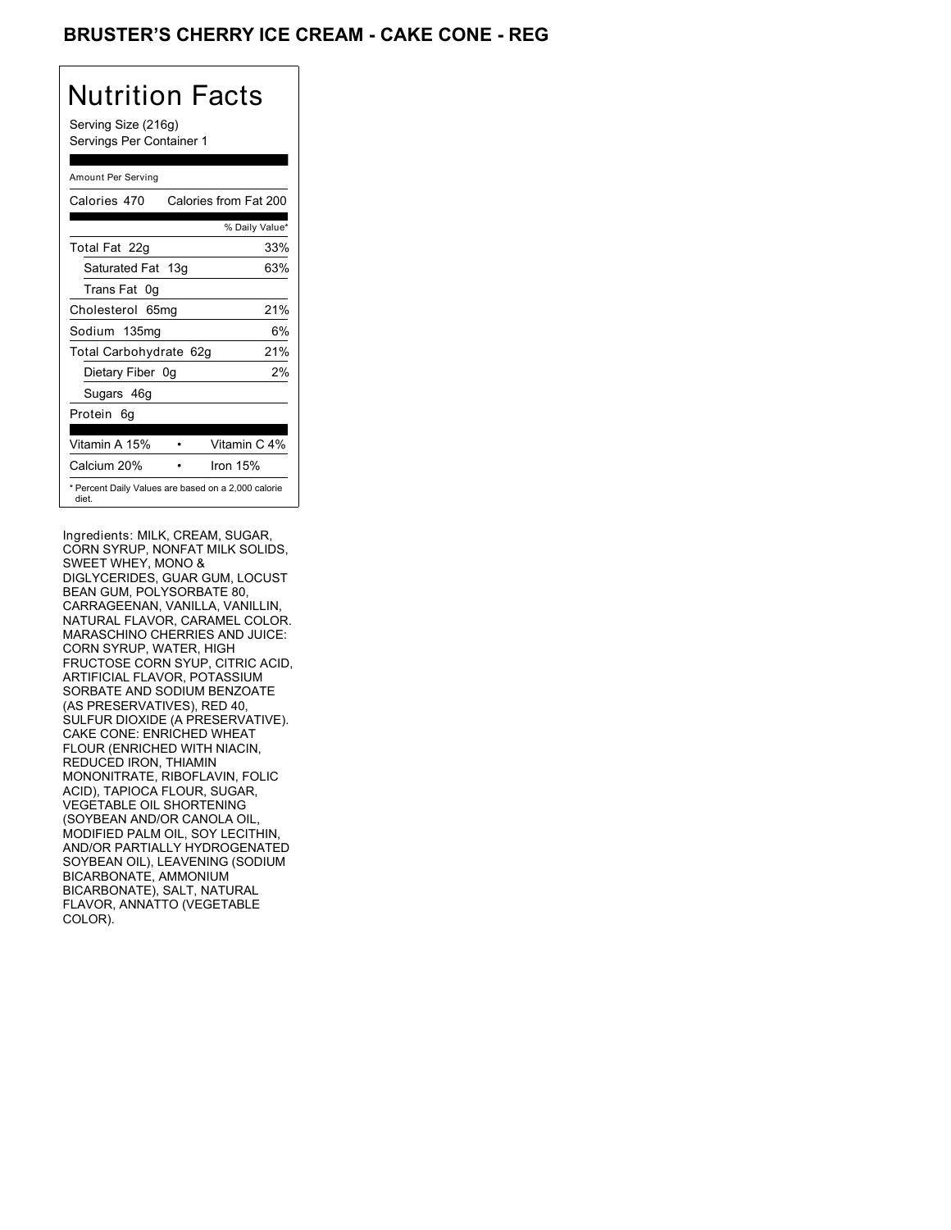### BRUSTER'S CHERRY ICE CREAM - CAKE CONE - REG

## Nutrition Facts

Serving Size (216g) Servings Per Container 1

### Amount Per Serving

| Calories 470                                                 | Calories from Fat 200 |
|--------------------------------------------------------------|-----------------------|
|                                                              | % Daily Value*        |
| Total Fat 22g                                                | 33%                   |
| Saturated Fat 13g                                            | 63%                   |
| Trans Fat 0q                                                 |                       |
| Cholesterol 65mg                                             | 21%                   |
| Sodium 135mg                                                 | 6%                    |
| Total Carbohydrate 62g                                       | 21%                   |
| Dietary Fiber 0g                                             | 2%                    |
| Sugars 46g                                                   |                       |
| Protein 6q                                                   |                       |
| Vitamin A 15%                                                | Vitamin C 4%          |
| Calcium 20%                                                  | Iron $15%$            |
| * Percent Daily Values are based on a 2,000 calorie<br>diet. |                       |

Ingredients: MILK, CREAM, SUGAR, CORN SYRUP, NONFAT MILK SOLIDS, SWEET WHEY, MONO & DIGLYCERIDES, GUAR GUM, LOCUST BEAN GUM, POLYSORBATE 80, CARRAGEENAN, VANILLA, VANILLIN, NATURAL FLAVOR, CARAMEL COLOR. MARASCHINO CHERRIES AND JUICE: CORN SYRUP, WATER, HIGH FRUCTOSE CORN SYUP, CITRIC ACID, ARTIFICIAL FLAVOR, POTASSIUM SORBATE AND SODIUM BENZOATE (AS PRESERVATIVES), RED 40, SULFUR DIOXIDE (A PRESERVATIVE). CAKE CONE: ENRICHED WHEAT FLOUR (ENRICHED WITH NIACIN, REDUCED IRON, THIAMIN MONONITRATE, RIBOFLAVIN, FOLIC ACID), TAPIOCA FLOUR, SUGAR, VEGETABLE OIL SHORTENING (SOYBEAN AND/OR CANOLA OIL, MODIFIED PALM OIL, SOY LECITHIN, AND/OR PARTIALLY HYDROGENATED SOYBEAN OIL), LEAVENING (SODIUM BICARBONATE, AMMONIUM BICARBONATE), SALT, NATURAL FLAVOR, ANNATTO (VEGETABLE COLOR).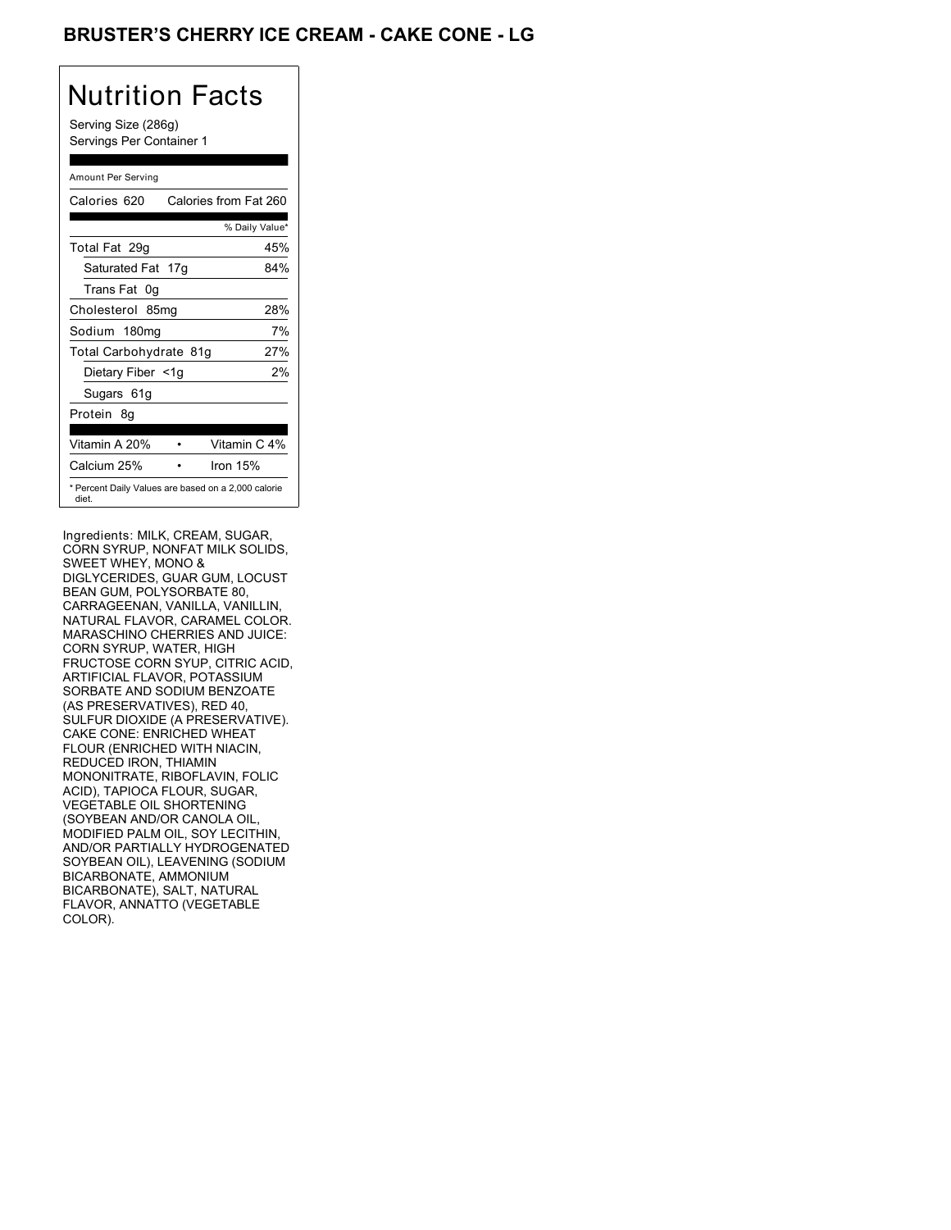### BRUSTER'S CHERRY ICE CREAM - CAKE CONE - LG

## Nutrition Facts

Serving Size (286g) Servings Per Container 1

#### Amount Per Serving

| Calories 620           | Calories from Fat 260                               |
|------------------------|-----------------------------------------------------|
|                        | % Daily Value*                                      |
| Total Fat 29g          | 45%                                                 |
| Saturated Fat 17g      | 84%                                                 |
| Trans Fat 0q           |                                                     |
| Cholesterol 85mg       | 28%                                                 |
| Sodium 180mg           | 7%                                                  |
| Total Carbohydrate 81g | 27%                                                 |
| Dietary Fiber <1g      | 2%                                                  |
| Sugars 61g             |                                                     |
| Protein 8q             |                                                     |
| Vitamin A 20%          | Vitamin C 4%                                        |
| Calcium 25%            | Iron $15%$                                          |
| diet.                  | * Percent Daily Values are based on a 2,000 calorie |

Ingredients: MILK, CREAM, SUGAR, CORN SYRUP, NONFAT MILK SOLIDS, SWEET WHEY, MONO & DIGLYCERIDES, GUAR GUM, LOCUST BEAN GUM, POLYSORBATE 80, CARRAGEENAN, VANILLA, VANILLIN, NATURAL FLAVOR, CARAMEL COLOR. MARASCHINO CHERRIES AND JUICE: CORN SYRUP, WATER, HIGH FRUCTOSE CORN SYUP, CITRIC ACID, ARTIFICIAL FLAVOR, POTASSIUM SORBATE AND SODIUM BENZOATE (AS PRESERVATIVES), RED 40, SULFUR DIOXIDE (A PRESERVATIVE). CAKE CONE: ENRICHED WHEAT FLOUR (ENRICHED WITH NIACIN, REDUCED IRON, THIAMIN MONONITRATE, RIBOFLAVIN, FOLIC ACID), TAPIOCA FLOUR, SUGAR, VEGETABLE OIL SHORTENING (SOYBEAN AND/OR CANOLA OIL, MODIFIED PALM OIL, SOY LECITHIN, AND/OR PARTIALLY HYDROGENATED SOYBEAN OIL), LEAVENING (SODIUM BICARBONATE, AMMONIUM BICARBONATE), SALT, NATURAL FLAVOR, ANNATTO (VEGETABLE COLOR).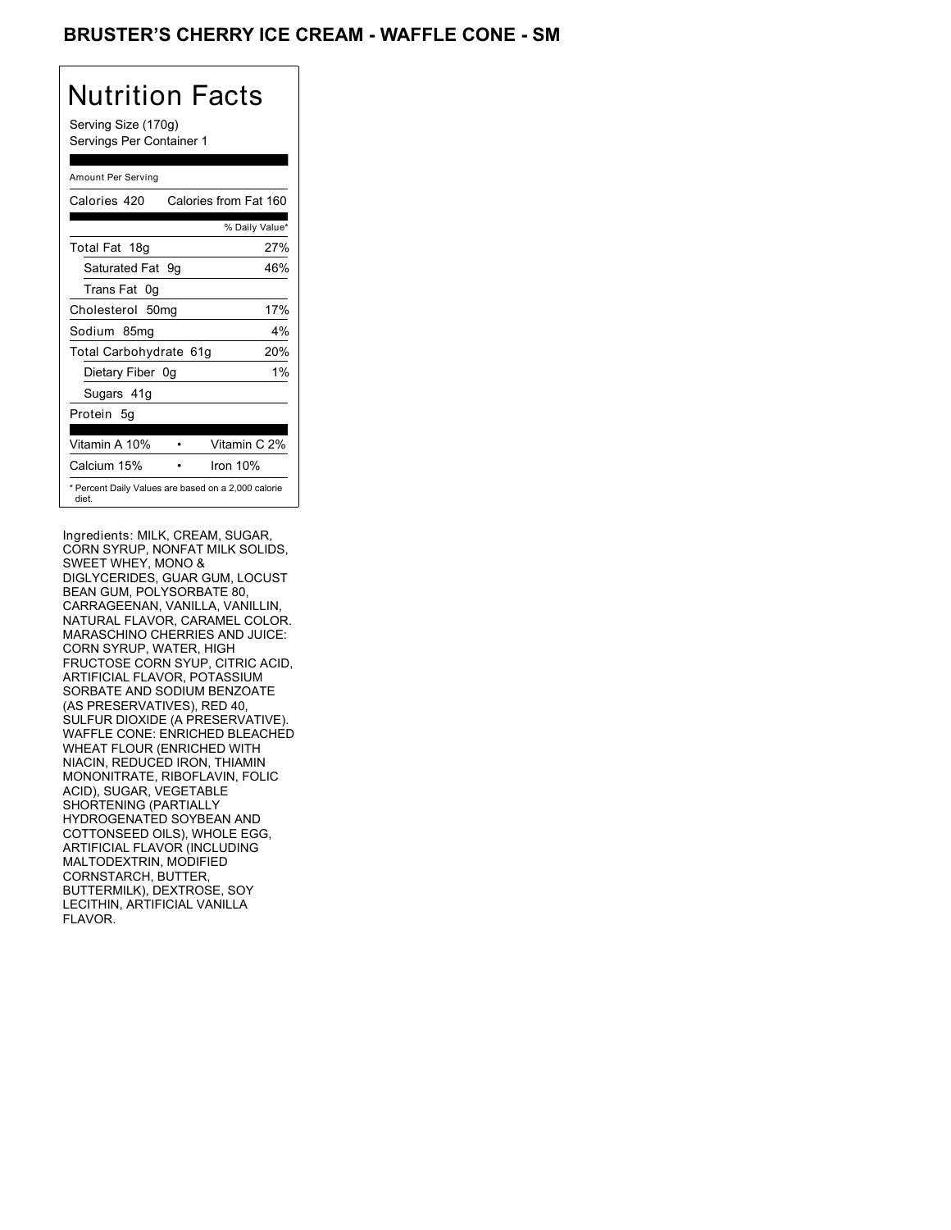### BRUSTER'S CHERRY ICE CREAM - WAFFLE CONE - SM

# Nutrition Facts

Serving Size (170g) Servings Per Container 1

### Amount Per Serving

| Calories 420           | Calories from Fat 160                               |
|------------------------|-----------------------------------------------------|
|                        | % Daily Value*                                      |
| Total Fat 18g          | 27%                                                 |
| Saturated Fat 9g       | 46%                                                 |
| Trans Fat 0q           |                                                     |
| Cholesterol 50mg       | 17%                                                 |
| Sodium 85mg            | 4%                                                  |
| Total Carbohydrate 61g | 20%                                                 |
| Dietary Fiber 0g       | $1\%$                                               |
| Sugars 41g             |                                                     |
| Protein 5q             |                                                     |
| Vitamin A 10%          | Vitamin C 2%                                        |
| Calcium 15%            | Iron $10%$                                          |
| diet.                  | * Percent Daily Values are based on a 2,000 calorie |

Ingredients: MILK, CREAM, SUGAR, CORN SYRUP, NONFAT MILK SOLIDS, SWEET WHEY, MONO & DIGLYCERIDES, GUAR GUM, LOCUST BEAN GUM, POLYSORBATE 80, CARRAGEENAN, VANILLA, VANILLIN, NATURAL FLAVOR, CARAMEL COLOR. MARASCHINO CHERRIES AND JUICE: CORN SYRUP, WATER, HIGH FRUCTOSE CORN SYUP, CITRIC ACID, ARTIFICIAL FLAVOR, POTASSIUM SORBATE AND SODIUM BENZOATE (AS PRESERVATIVES), RED 40, SULFUR DIOXIDE (A PRESERVATIVE). WAFFLE CONE: ENRICHED BLEACHED WHEAT FLOUR (ENRICHED WITH NIACIN, REDUCED IRON, THIAMIN MONONITRATE, RIBOFLAVIN, FOLIC ACID), SUGAR, VEGETABLE SHORTENING (PARTIALLY HYDROGENATED SOYBEAN AND COTTONSEED OILS), WHOLE EGG, ARTIFICIAL FLAVOR (INCLUDING MALTODEXTRIN, MODIFIED CORNSTARCH, BUTTER, BUTTERMILK), DEXTROSE, SOY LECITHIN, ARTIFICIAL VANILLA FLAVOR.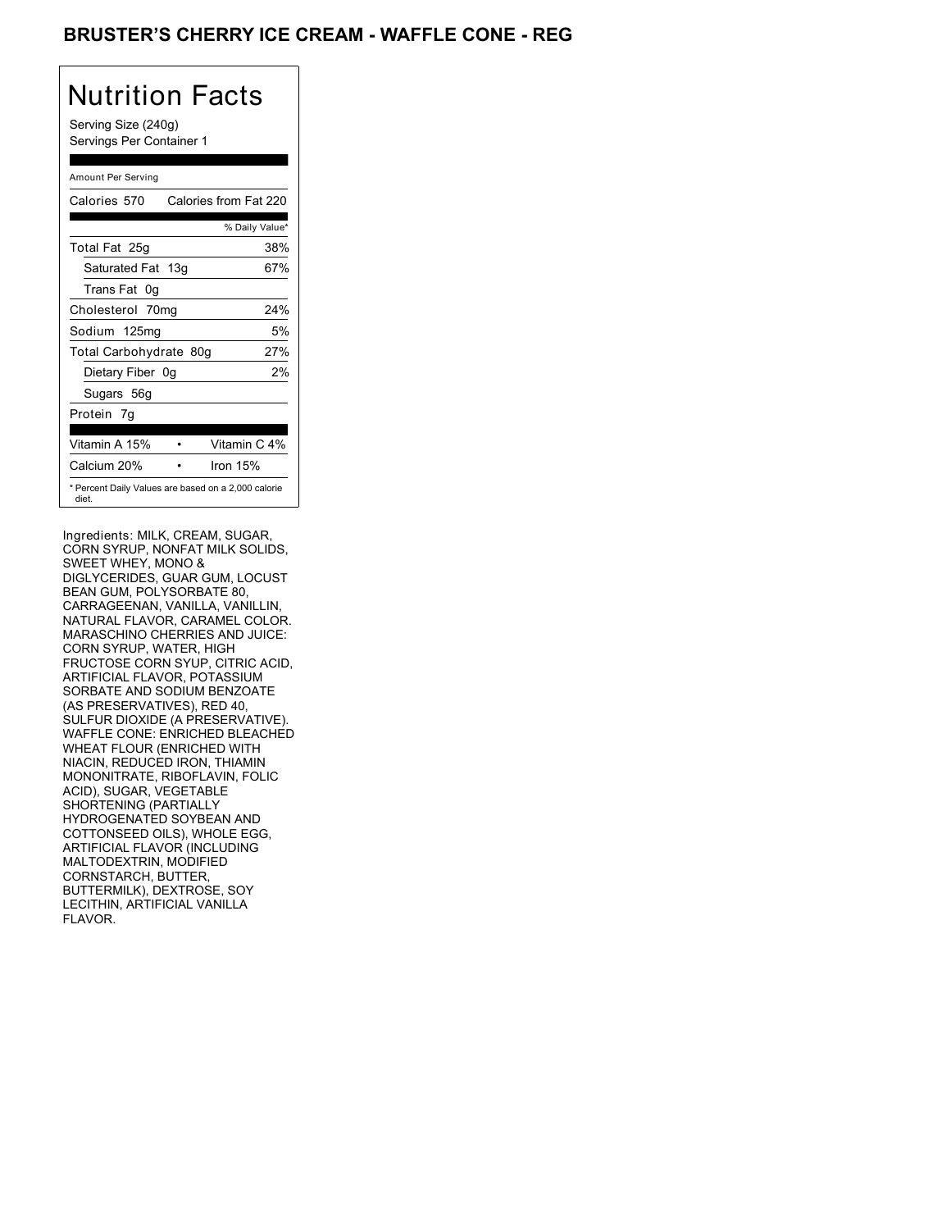### **BRUSTER'S CHERRY ICE CREAM - WAFFLE CONE - REG**

## Nutrition Facts

Serving Size (240g) Servings Per Container 1

### Amount Per Serving

| Calories 570                                                 | Calories from Fat 220 |     |
|--------------------------------------------------------------|-----------------------|-----|
|                                                              | % Daily Value*        |     |
| Total Fat 25g                                                |                       | 38% |
| Saturated Fat 13g                                            |                       | 67% |
| Trans Fat 0g                                                 |                       |     |
| Cholesterol 70mg                                             |                       | 24% |
| Sodium 125mg                                                 |                       | 5%  |
| Total Carbohydrate 80g                                       |                       | 27% |
| Dietary Fiber 0g                                             |                       | 2%  |
| Sugars 56g                                                   |                       |     |
| Protein 7q                                                   |                       |     |
| Vitamin A 15%                                                | Vitamin C 4%          |     |
| Calcium 20%                                                  | Iron 15%              |     |
| * Percent Daily Values are based on a 2,000 calorie<br>diet. |                       |     |

Ingredients: MILK, CREAM, SUGAR, CORN SYRUP, NONFAT MILK SOLIDS, SWEET WHEY, MONO & DIGLYCERIDES, GUAR GUM, LOCUST BEAN GUM, POLYSORBATE 80, CARRAGEENAN, VANILLA, VANILLIN, NATURAL FLAVOR, CARAMEL COLOR. MARASCHINO CHERRIES AND JUICE: CORN SYRUP, WATER, HIGH FRUCTOSE CORN SYUP, CITRIC ACID, ARTIFICIAL FLAVOR, POTASSIUM SORBATE AND SODIUM BENZOATE (AS PRESERVATIVES), RED 40, SULFUR DIOXIDE (A PRESERVATIVE). WAFFLE CONE: ENRICHED BLEACHED WHEAT FLOUR (ENRICHED WITH NIACIN, REDUCED IRON, THIAMIN MONONITRATE, RIBOFLAVIN, FOLIC ACID), SUGAR, VEGETABLE SHORTENING (PARTIALLY HYDROGENATED SOYBEAN AND COTTONSEED OILS), WHOLE EGG, ARTIFICIAL FLAVOR (INCLUDING MALTODEXTRIN, MODIFIED CORNSTARCH, BUTTER, BUTTERMILK), DEXTROSE, SOY LECITHIN, ARTIFICIAL VANILLA FLAVOR.